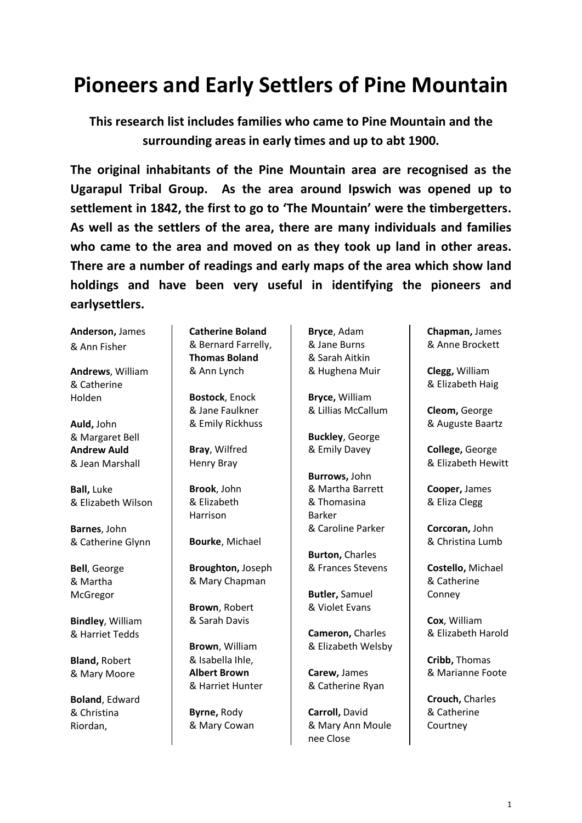## **Pioneers and Early Settlers of Pine Mountain**

**This research list includes families who came to Pine Mountain and the surrounding areas in early times and up to abt 1900.** 

**The original inhabitants of the Pine Mountain area are recognised as the Ugarapul Tribal Group. As the area around Ipswich was opened up to settlement in 1842, the first to go to 'The Mountain' were the timbergetters. As well as the settlers of the area, there are many individuals and families who came to the area and moved on as they took up land in other areas. There are a number of readings and early maps of the area which show land holdings and have been very useful in identifying the pioneers and earlysettlers.**

**Anderson,** James & Ann Fisher

**Andrews**, William & Catherine Holden

**Auld,** John & Margaret Bell **Andrew Auld**  & Jean Marshall

**Ball,** Luke & Elizabeth Wilson

**Barnes**, John & Catherine Glynn

**Bell**, George & Martha McGregor

**Bindley**, William & Harriet Tedds

**Bland,** Robert & Mary Moore

**Boland**, Edward & Christina Riordan,

**Catherine Boland** & Bernard Farrelly, **Thomas Boland** & Ann Lynch

**Bostock**, Enock & Jane Faulkner & Emily Rickhuss

**Bray**, Wilfred Henry Bray

**Brook**, John & Elizabeth Harrison

**Bourke**, Michael

**Broughton,** Joseph & Mary Chapman

**Brown**, Robert & Sarah Davis

**Brown**, William & Isabella Ihle, **Albert Brown**  & Harriet Hunter

**Byrne,** Rody & Mary Cowan **Bryce**, Adam & Jane Burns & Sarah Aitkin & Hughena Muir

**Bryce,** William & Lillias McCallum

**Buckley**, George & Emily Davey

**Burrows,** John & Martha Barrett & Thomasina Barker & Caroline Parker

**Burton,** Charles & Frances Stevens

**Butler,** Samuel & Violet Evans

**Cameron,** Charles & Elizabeth Welsby

**Carew,** James & Catherine Ryan

**Carroll,** David & Mary Ann Moule nee Close

**Chapman,** James & Anne Brockett

**Clegg,** William & Elizabeth Haig

**Cleom,** George & Auguste Baartz

**College,** George & Elizabeth Hewitt

**Cooper,** James & Eliza Clegg

**Corcoran,** John & Christina Lumb

**Costello,** Michael & Catherine Conney

**Cox**, William & Elizabeth Harold

**Cribb,** Thomas & Marianne Foote

**Crouch,** Charles & Catherine **Courtney**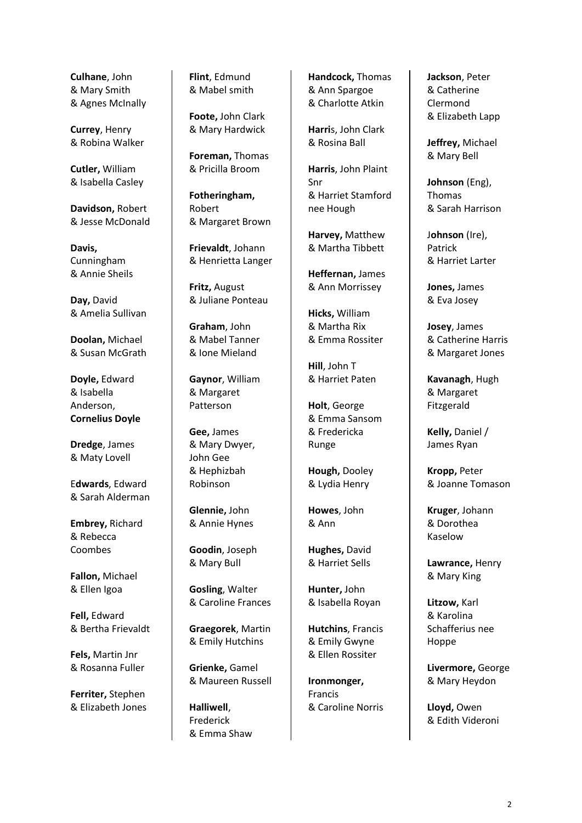**Culhane**, John & Mary Smith & Agnes McInally

**Currey**, Henry & Robina Walker

**Cutler,** William & Isabella Casley

**Davidson,** Robert & Jesse McDonald

**Davis,** Cunningham & Annie Sheils

**Day,** David & Amelia Sullivan

**Doolan,** Michael & Susan McGrath

**Doyle,** Edward & Isabella Anderson, **Cornelius Doyle**

**Dredge**, James & Maty Lovell

E**dwards**, Edward & Sarah Alderman

**Embrey,** Richard & Rebecca Coombes

**Fallon,** Michael & Ellen Igoa

**Fell,** Edward & Bertha Frievaldt

**Fels,** Martin Jnr & Rosanna Fuller

**Ferriter,** Stephen & Elizabeth Jones **Flint**, Edmund & Mabel smith

**Foote,** John Clark & Mary Hardwick

**Foreman,** Thomas & Pricilla Broom

**Fotheringham,** Robert & Margaret Brown

**Frievaldt**, Johann & Henrietta Langer

**Fritz,** August & Juliane Ponteau

**Graham**, John & Mabel Tanner & Ione Mieland

**Gaynor**, William & Margaret Patterson

**Gee,** James & Mary Dwyer, John Gee & Hephizbah Robinson

**Glennie,** John & Annie Hynes

**Goodin**, Joseph & Mary Bull

**Gosling**, Walter & Caroline Frances

**Graegorek**, Martin & Emily Hutchins

**Grienke,** Gamel & Maureen Russell

**Halliwell**, Frederick & Emma Shaw **Handcock,** Thomas & Ann Spargoe & Charlotte Atkin

**Harri**s, John Clark & Rosina Ball

**Harris**, John Plaint Snr & Harriet Stamford nee Hough

**Harvey,** Matthew & Martha Tibbett

**Heffernan,** James & Ann Morrissey

**Hicks,** William & Martha Rix & Emma Rossiter

**Hill**, John T & Harriet Paten

**Holt**, George & Emma Sansom & Fredericka Runge

**Hough,** Dooley & Lydia Henry

**Howes**, John & Ann

**Hughes,** David & Harriet Sells

**Hunter,** John & Isabella Royan

**Hutchins**, Francis & Emily Gwyne & Ellen Rossiter

**Ironmonger,** Francis & Caroline Norris **Jackson**, Peter & Catherine Clermond & Elizabeth Lapp

**Jeffrey,** Michael & Mary Bell

**Johnson** (Eng), Thomas & Sarah Harrison

J**ohnson** (Ire), Patrick & Harriet Larter

**Jones,** James & Eva Josey

**Josey**, James & Catherine Harris & Margaret Jones

**Kavanagh**, Hugh & Margaret Fitzgerald

**Kelly,** Daniel / James Ryan

**Kropp,** Peter & Joanne Tomason

**Kruger**, Johann & Dorothea Kaselow

**Lawrance,** Henry & Mary King

**Litzow,** Karl & Karolina Schafferius nee Hoppe

**Livermore,** George & Mary Heydon

**Lloyd,** Owen & Edith Videroni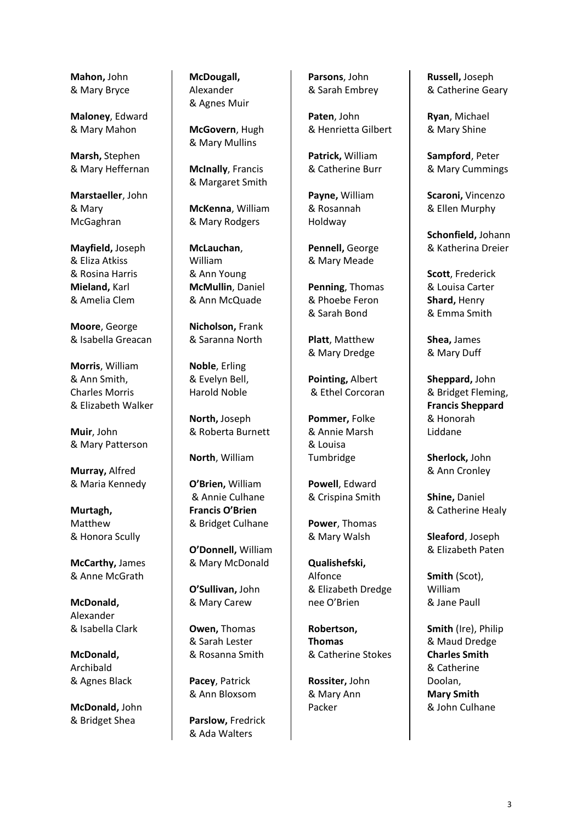**Mahon,** John & Mary Bryce

**Maloney**, Edward & Mary Mahon

**Marsh,** Stephen & Mary Heffernan

**Marstaeller**, John & Mary McGaghran

**Mayfield,** Joseph & Eliza Atkiss & Rosina Harris **Mieland,** Karl & Amelia Clem

**Moore**, George & Isabella Greacan

**Morris**, William & Ann Smith, Charles Morris & Elizabeth Walker

**Muir**, John & Mary Patterson

**Murray,** Alfred & Maria Kennedy

**Murtagh,** Matthew & Honora Scully

**McCarthy,** James & Anne McGrath

**McDonald,** Alexander & Isabella Clark

**McDonald,** Archibald & Agnes Black

**McDonald,** John & Bridget Shea

**McDougall,** Alexander & Agnes Muir

**McGovern**, Hugh & Mary Mullins

**McInally**, Francis & Margaret Smith

**McKenna**, William & Mary Rodgers

**McLauchan**, William & Ann Young **McMullin**, Daniel & Ann McQuade

**Nicholson,** Frank & Saranna North

**Noble**, Erling & Evelyn Bell, Harold Noble

**North,** Joseph & Roberta Burnett

**North**, William

**O'Brien,** William & Annie Culhane **Francis O'Brien** & Bridget Culhane

**O'Donnell,** William & Mary McDonald

**O'Sullivan,** John & Mary Carew

**Owen,** Thomas & Sarah Lester & Rosanna Smith

**Pacey**, Patrick & Ann Bloxsom

**Parslow,** Fredrick & Ada Walters

**Parsons**, John & Sarah Embrey

**Paten**, John & Henrietta Gilbert

**Patrick,** William & Catherine Burr

**Payne,** William & Rosannah Holdway

**Pennell,** George & Mary Meade

**Penning**, Thomas & Phoebe Feron & Sarah Bond

**Platt**, Matthew & Mary Dredge

**Pointing,** Albert & Ethel Corcoran

**Pommer,** Folke & Annie Marsh & Louisa Tumbridge

**Powell**, Edward & Crispina Smith

**Power**, Thomas & Mary Walsh

**Qualishefski,** Alfonce & Elizabeth Dredge nee O'Brien

**Robertson, Thomas**  & Catherine Stokes

**Rossiter,** John & Mary Ann Packer

**Russell,** Joseph & Catherine Geary

**Ryan**, Michael & Mary Shine

**Sampford**, Peter & Mary Cummings

**Scaroni,** Vincenzo & Ellen Murphy

**Schonfield,** Johann & Katherina Dreier

**Scott**, Frederick & Louisa Carter **Shard,** Henry & Emma Smith

**Shea,** James & Mary Duff

**Sheppard,** John & Bridget Fleming, **Francis Sheppard** & Honorah Liddane

**Sherlock,** John & Ann Cronley

**Shine,** Daniel & Catherine Healy

**Sleaford**, Joseph & Elizabeth Paten

**Smith** (Scot), William & Jane Paull

**Smith** (Ire), Philip & Maud Dredge **Charles Smith** & Catherine Doolan, **Mary Smith**  & John Culhane